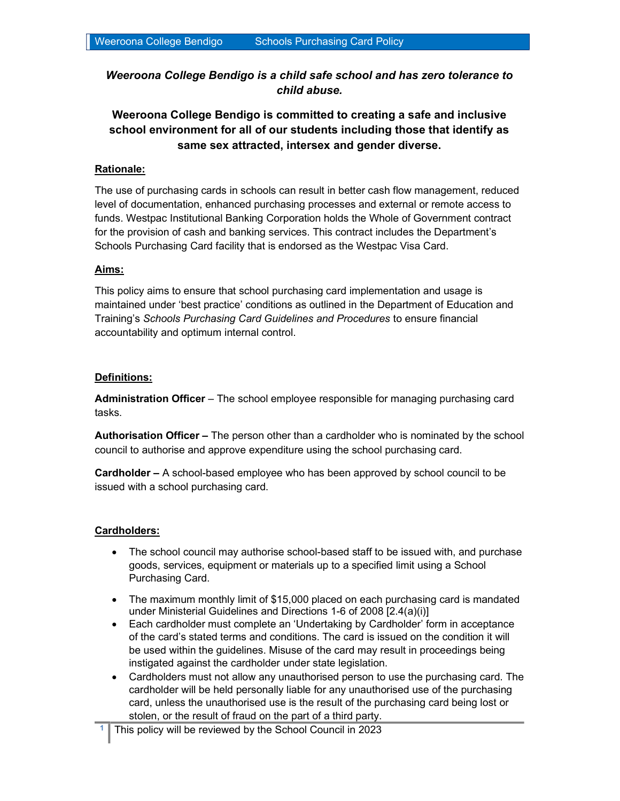Weeroona College Bendigo is a child safe school and has zero tolerance to child abuse.

# Weeroona College Bendigo is committed to creating a safe and inclusive school environment for all of our students including those that identify as same sex attracted, intersex and gender diverse.

# Rationale:

The use of purchasing cards in schools can result in better cash flow management, reduced level of documentation, enhanced purchasing processes and external or remote access to funds. Westpac Institutional Banking Corporation holds the Whole of Government contract for the provision of cash and banking services. This contract includes the Department's Schools Purchasing Card facility that is endorsed as the Westpac Visa Card.

# Aims:

This policy aims to ensure that school purchasing card implementation and usage is maintained under 'best practice' conditions as outlined in the Department of Education and Training's Schools Purchasing Card Guidelines and Procedures to ensure financial accountability and optimum internal control.

# Definitions:

Administration Officer – The school employee responsible for managing purchasing card tasks.

Authorisation Officer - The person other than a cardholder who is nominated by the school council to authorise and approve expenditure using the school purchasing card.

Cardholder – A school-based employee who has been approved by school council to be issued with a school purchasing card.

# Cardholders:

- The school council may authorise school-based staff to be issued with, and purchase goods, services, equipment or materials up to a specified limit using a School Purchasing Card.
- The maximum monthly limit of \$15,000 placed on each purchasing card is mandated under Ministerial Guidelines and Directions 1-6 of 2008 [2.4(a)(i)]
- Each cardholder must complete an 'Undertaking by Cardholder' form in acceptance of the card's stated terms and conditions. The card is issued on the condition it will be used within the guidelines. Misuse of the card may result in proceedings being instigated against the cardholder under state legislation.
- Cardholders must not allow any unauthorised person to use the purchasing card. The cardholder will be held personally liable for any unauthorised use of the purchasing card, unless the unauthorised use is the result of the purchasing card being lost or stolen, or the result of fraud on the part of a third party.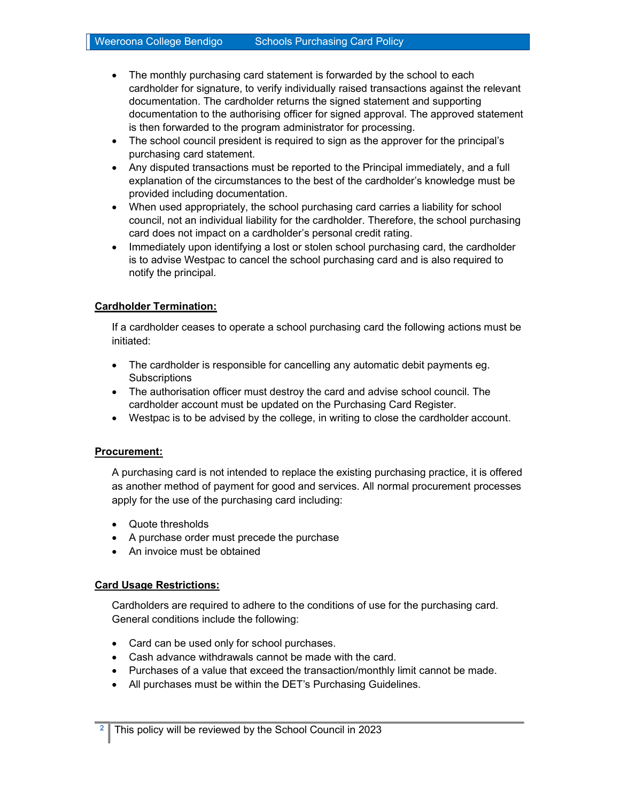- The monthly purchasing card statement is forwarded by the school to each cardholder for signature, to verify individually raised transactions against the relevant documentation. The cardholder returns the signed statement and supporting documentation to the authorising officer for signed approval. The approved statement is then forwarded to the program administrator for processing.
- The school council president is required to sign as the approver for the principal's purchasing card statement.
- Any disputed transactions must be reported to the Principal immediately, and a full explanation of the circumstances to the best of the cardholder's knowledge must be provided including documentation.
- When used appropriately, the school purchasing card carries a liability for school council, not an individual liability for the cardholder. Therefore, the school purchasing card does not impact on a cardholder's personal credit rating.
- Immediately upon identifying a lost or stolen school purchasing card, the cardholder is to advise Westpac to cancel the school purchasing card and is also required to notify the principal.

## Cardholder Termination:

If a cardholder ceases to operate a school purchasing card the following actions must be initiated:

- The cardholder is responsible for cancelling any automatic debit payments eg. **Subscriptions**
- The authorisation officer must destroy the card and advise school council. The cardholder account must be updated on the Purchasing Card Register.
- Westpac is to be advised by the college, in writing to close the cardholder account.

#### Procurement:

A purchasing card is not intended to replace the existing purchasing practice, it is offered as another method of payment for good and services. All normal procurement processes apply for the use of the purchasing card including:

- Quote thresholds
- A purchase order must precede the purchase
- An invoice must be obtained

#### Card Usage Restrictions:

Cardholders are required to adhere to the conditions of use for the purchasing card. General conditions include the following:

- Card can be used only for school purchases.
- Cash advance withdrawals cannot be made with the card.
- Purchases of a value that exceed the transaction/monthly limit cannot be made.
- All purchases must be within the DET's Purchasing Guidelines.